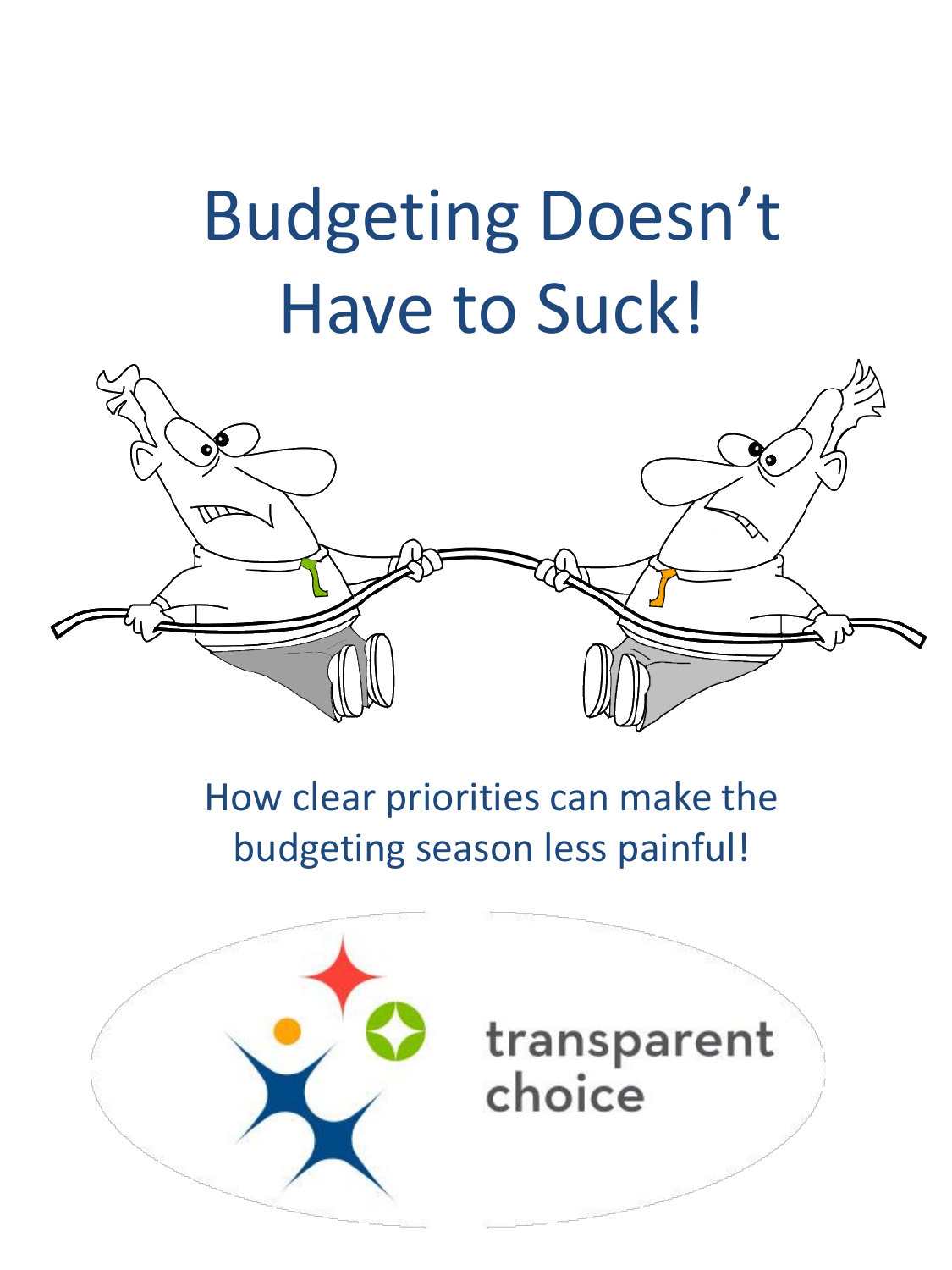# Budgeting Doesn't Have to Suck!



# How clear priorities can make the budgeting season less painful!



# transparent choice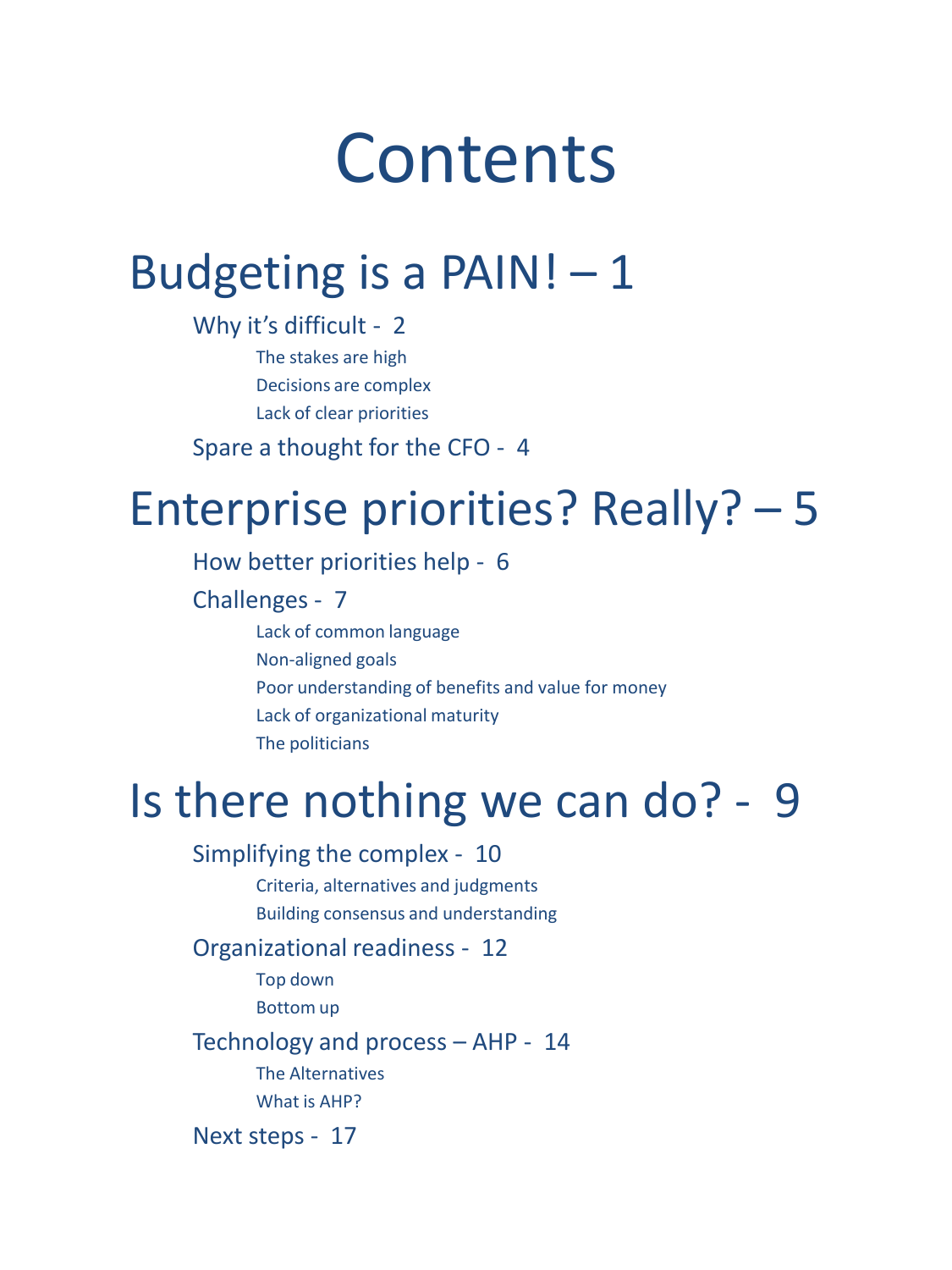# Contents

# Budgeting is a PAIN! $-1$

Why it's difficult - 2 The stakes are high Decisions are complex Lack of clear priorities

Spare a thought for the CFO - 4

# Enterprise priorities? Really? – 5

How better priorities help - 6

Challenges - 7

Lack of common language Non-aligned goals Poor understanding of benefits and value for money Lack of organizational maturity The politicians

# Is there nothing we can do? - 9

#### Simplifying the complex - 10

Criteria, alternatives and judgments Building consensus and understanding

#### Organizational readiness - 12

Top down

Bottom up

#### Technology and process – AHP - 14 The Alternatives

What is AHP?

Next steps - 17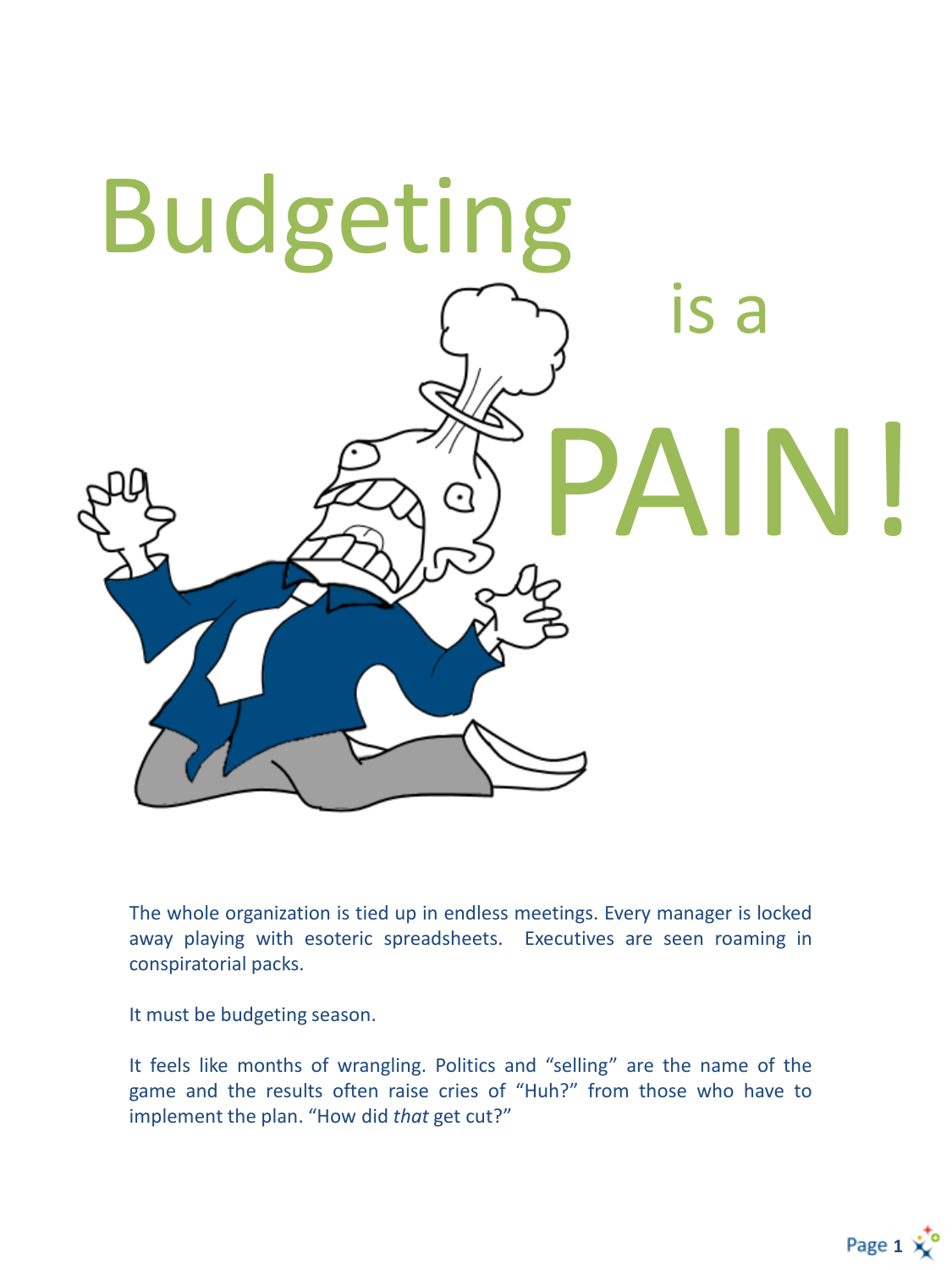

The whole organization is tied up in endless meetings. Every manager is locked away playing with esoteric spreadsheets. Executives are seen roaming in conspiratorial packs.

It must be budgeting season.

It feels like months of wrangling. Politics and "selling" are the name of the game and the results often raise cries of "Huh?" from those who have to implement the plan. "How did *that* get cut?"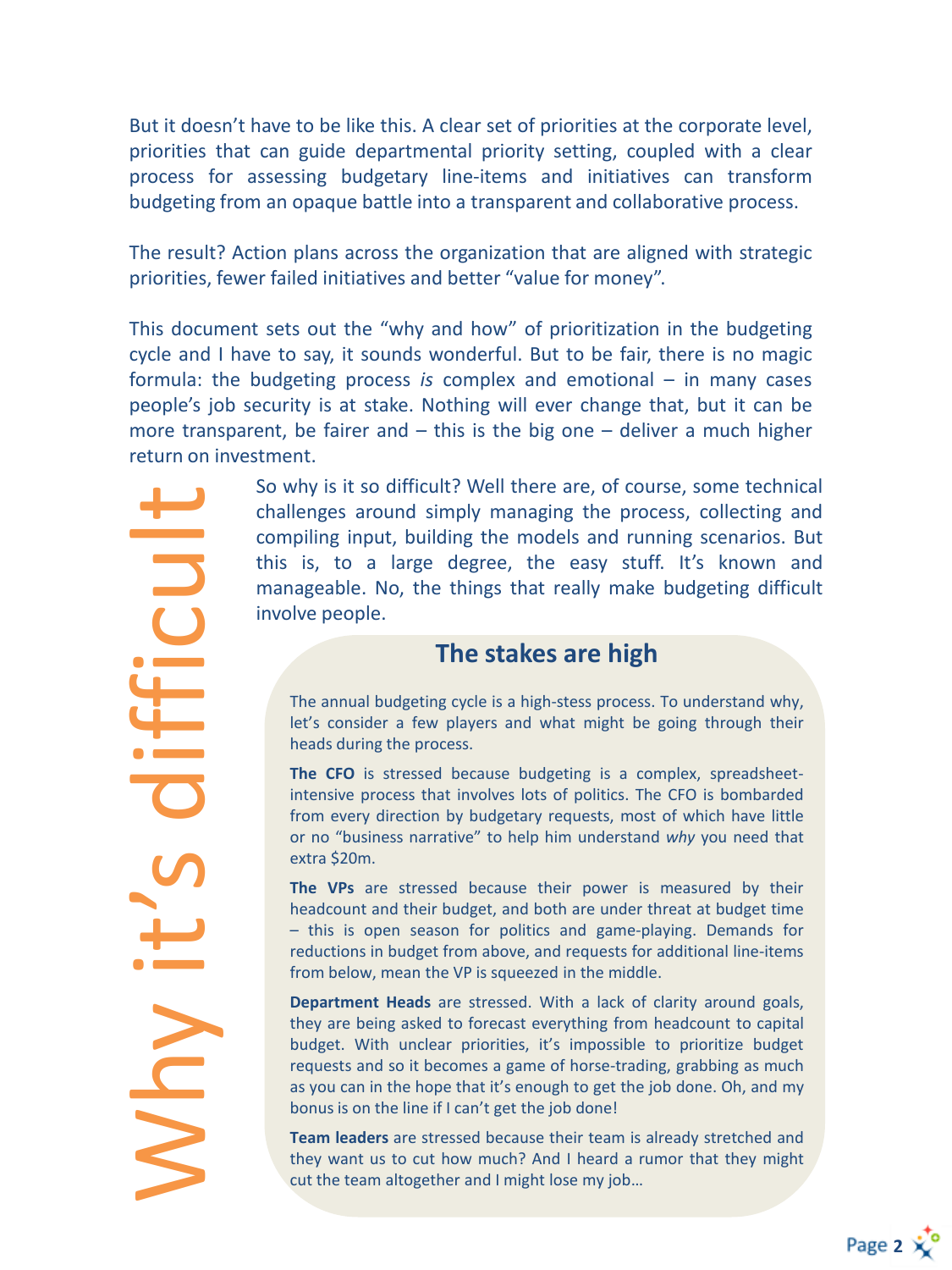But it doesn't have to be like this. A clear set of priorities at the corporate level, priorities that can guide departmental priority setting, coupled with a clear process for assessing budgetary line-items and initiatives can transform budgeting from an opaque battle into a transparent and collaborative process.

The result? Action plans across the organization that are aligned with strategic priorities, fewer failed initiatives and better "value for money".

This document sets out the "why and how" of prioritization in the budgeting cycle and I have to say, it sounds wonderful. But to be fair, there is no magic formula: the budgeting process *is* complex and emotional – in many cases people's job security is at stake. Nothing will ever change that, but it can be more transparent, be fairer and  $-$  this is the big one  $-$  deliver a much higher return on investment.

> So why is it so difficult? Well there are, of course, some technical challenges around simply managing the process, collecting and compiling input, building the models and running scenarios. But this is, to a large degree, the easy stuff. It's known and manageable. No, the things that really make budgeting difficult involve people.

#### **The stakes are high**

The annual budgeting cycle is a high-stess process. To understand why, let's consider a few players and what might be going through their heads during the process.

**The CFO** is stressed because budgeting is a complex, spreadsheetintensive process that involves lots of politics. The CFO is bombarded from every direction by budgetary requests, most of which have little or no "business narrative" to help him understand *why* you need that extra \$20m.

**The VPs** are stressed because their power is measured by their headcount and their budget, and both are under threat at budget time – this is open season for politics and game-playing. Demands for reductions in budget from above, and requests for additional line-items from below, mean the VP is squeezed in the middle.

**Department Heads** are stressed. With a lack of clarity around goals, they are being asked to forecast everything from headcount to capital budget. With unclear priorities, it's impossible to prioritize budget requests and so it becomes a game of horse-trading, grabbing as much as you can in the hope that it's enough to get the job done. Oh, and my bonus is on the line if I can't get the job done!

**Team leaders** are stressed because their team is already stretched and they want us to cut how much? And I heard a rumor that they might cut the team altogether and I might lose my job…

Why it's difficult **UDIHH**  $\frac{1}{2}$ YUN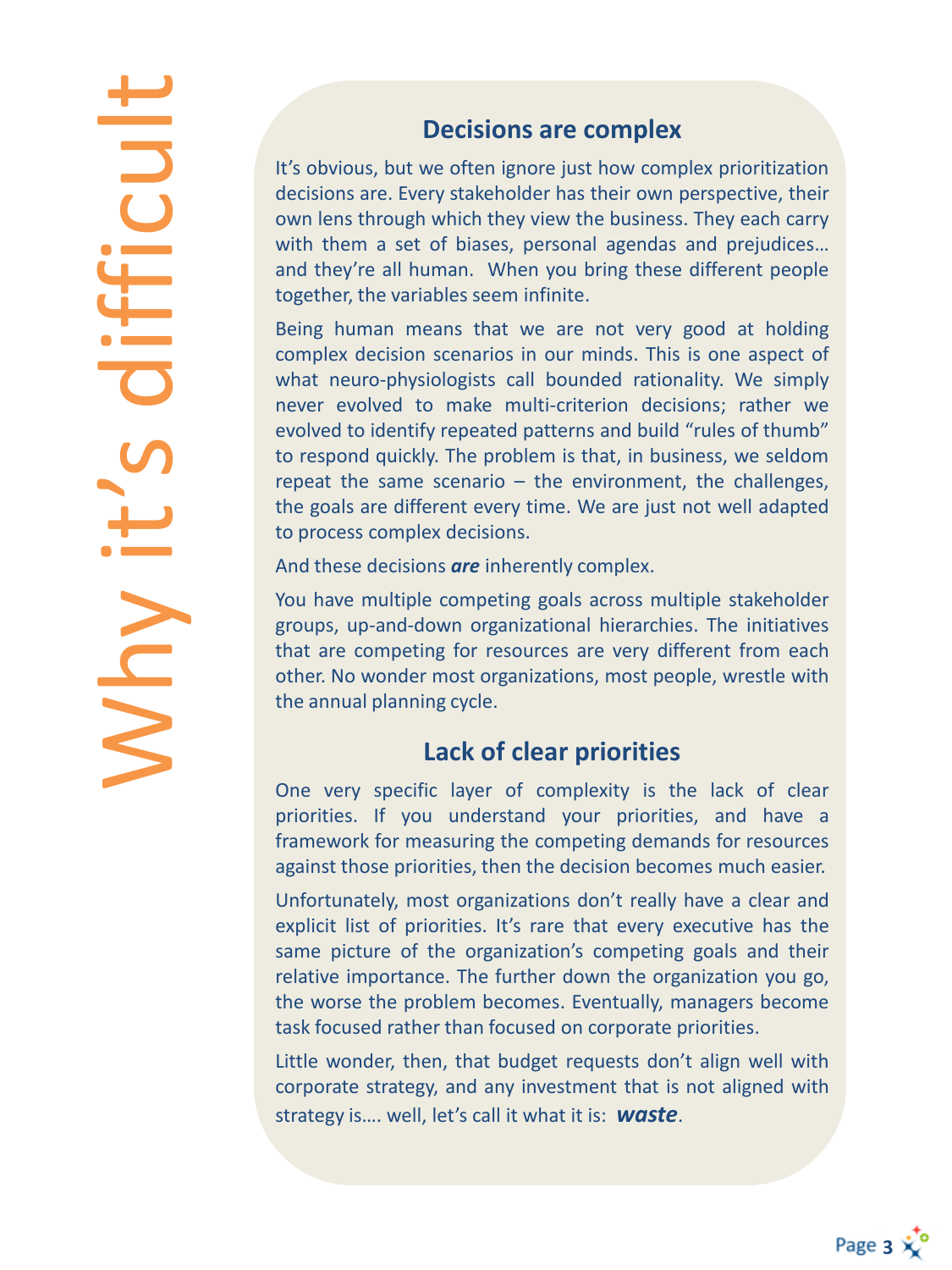Why it's difficult DO E  $\overline{\mathbf{C}}$ ┶ I KUN

#### **Decisions are complex**

It's obvious, but we often ignore just how complex prioritization decisions are. Every stakeholder has their own perspective, their own lens through which they view the business. They each carry with them a set of biases, personal agendas and prejudices… and they're all human. When you bring these different people together, the variables seem infinite.

Being human means that we are not very good at holding complex decision scenarios in our minds. This is one aspect of what neuro-physiologists call bounded rationality. We simply never evolved to make multi-criterion decisions; rather we evolved to identify repeated patterns and build "rules of thumb" to respond quickly. The problem is that, in business, we seldom repeat the same scenario – the environment, the challenges, the goals are different every time. We are just not well adapted to process complex decisions.

And these decisions *are* inherently complex.

You have multiple competing goals across multiple stakeholder groups, up-and-down organizational hierarchies. The initiatives that are competing for resources are very different from each other. No wonder most organizations, most people, wrestle with the annual planning cycle.

#### **Lack of clear priorities**

One very specific layer of complexity is the lack of clear priorities. If you understand your priorities, and have a framework for measuring the competing demands for resources against those priorities, then the decision becomes much easier.

Unfortunately, most organizations don't really have a clear and explicit list of priorities. It's rare that every executive has the same picture of the organization's competing goals and their relative importance. The further down the organization you go, the worse the problem becomes. Eventually, managers become task focused rather than focused on corporate priorities.

Little wonder, then, that budget requests don't align well with corporate strategy, and any investment that is not aligned with strategy is…. well, let's call it what it is: *waste*.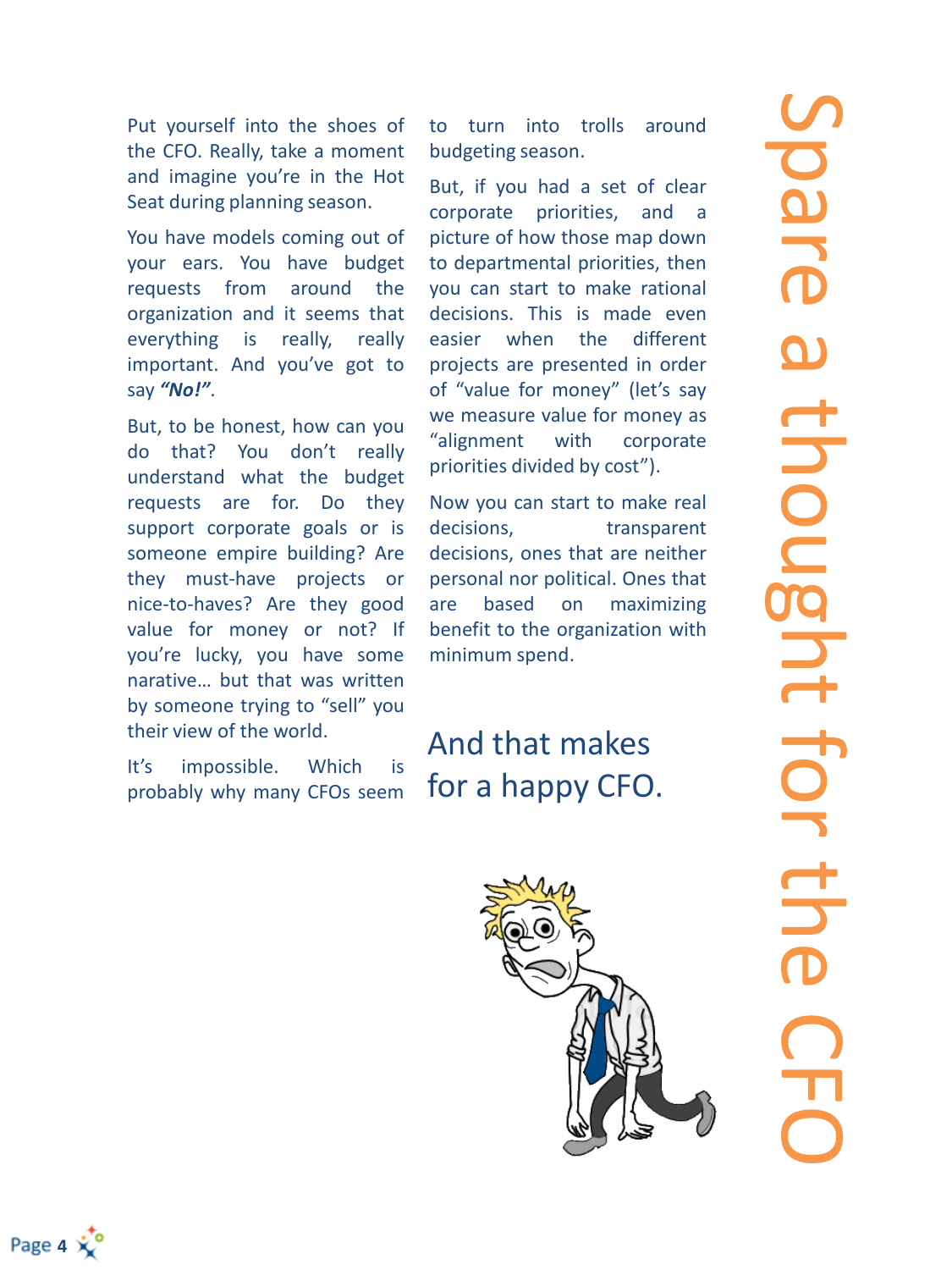Put yourself into the shoes of the CFO. Really, take a moment and imagine you're in the Hot Seat during planning season.

You have models coming out of your ears. You have budget requests from around the organization and it seems that everything is really, really important. And you've got to say *"No!"*.

But, to be honest, how can you do that? You don't really understand what the budget requests are for. Do they support corporate goals or is someone empire building? Are they must-have projects or nice-to-haves? Are they good value for money or not? If you're lucky, you have some narative… but that was written by someone trying to "sell" you their view of the world.

It's impossible. Which is probably why many CFOs seem to turn into trolls around budgeting season.

But, if you had a set of clear corporate priorities, and a picture of how those map down to departmental priorities, then you can start to make rational decisions. This is made even easier when the different projects are presented in order of "value for money" (let's say we measure value for money as "alignment with corporate priorities divided by cost").

Now you can start to make real decisions. transparent decisions, ones that are neither personal nor political. Ones that are based on maximizing benefit to the organization with minimum spend.

#### And that makes for a happy CFO.



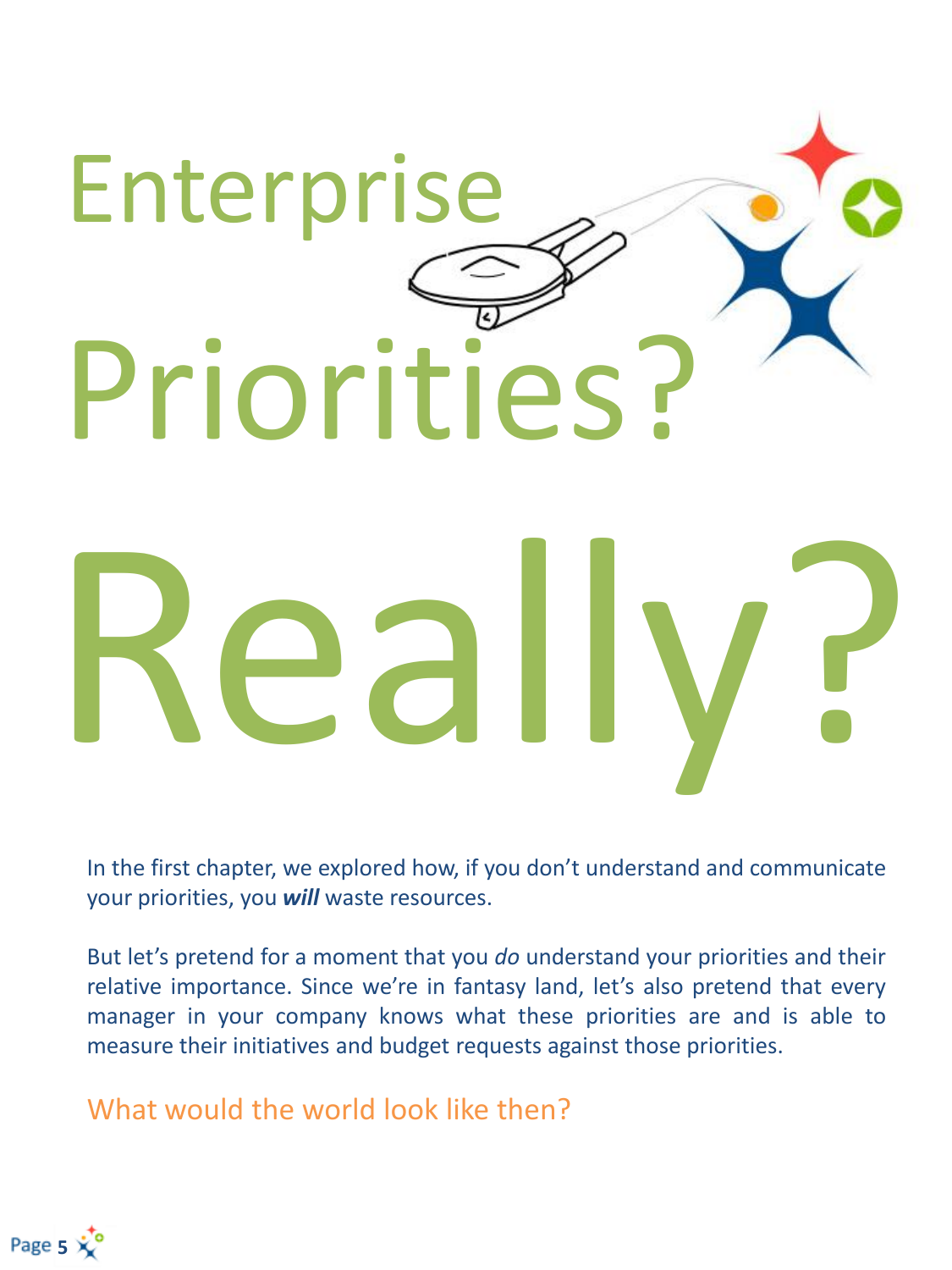

In the first chapter, we explored how, if you don't understand and communicate your priorities, you *will* waste resources.

But let's pretend for a moment that you *do* understand your priorities and their relative importance. Since we're in fantasy land, let's also pretend that every manager in your company knows what these priorities are and is able to measure their initiatives and budget requests against those priorities.

What would the world look like then?

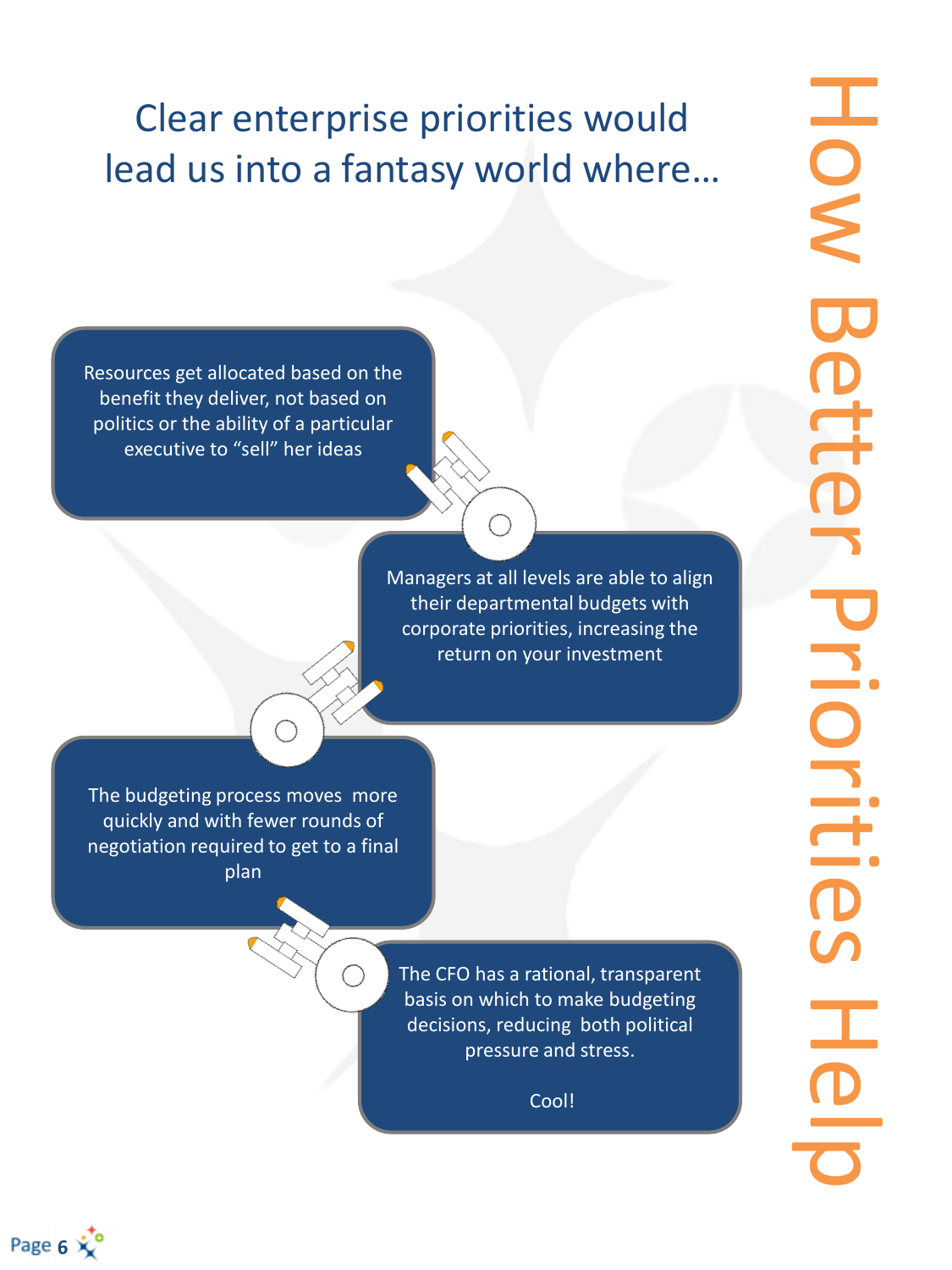# Clear enterprise priorities would lead us into a fantasy world where…

Resources get allocated based on the benefit they deliver, not based on politics or the ability of a particular executive to "sell" her ideas

> Managers at all levels are able to align their departmental budgets with corporate priorities, increasing the return on your investment

The budgeting process moves more quickly and with fewer rounds of negotiation required to get to a final plan

> The CFO has a rational, transparent basis on which to make budgeting decisions, reducing both political pressure and stress.

> > Cool!

HON How Better Priorities Help Bette Priorities<br>Heli

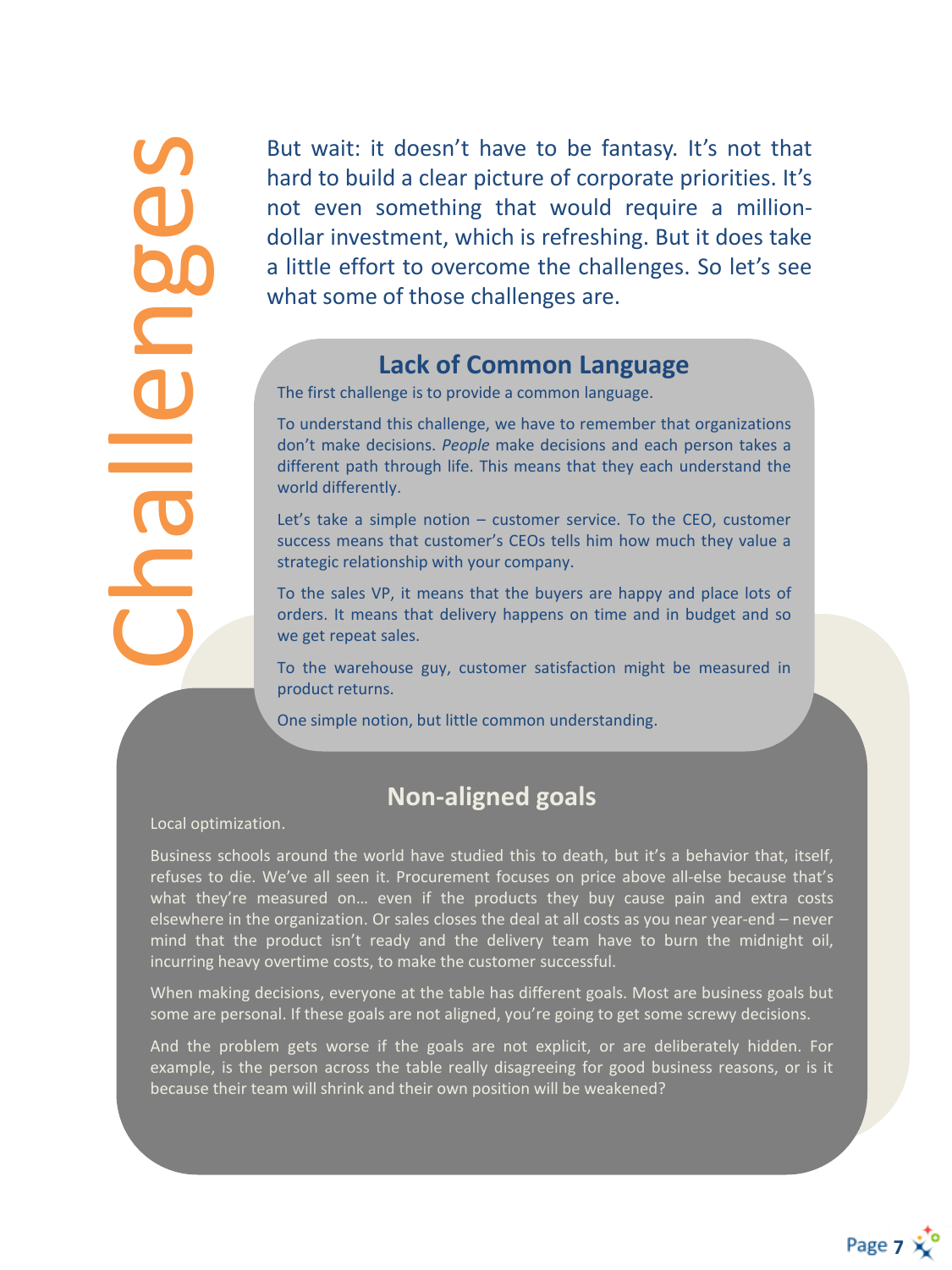allenges

But wait : it doesn't have to be fantasy . It's not that hard to build a clear picture of corporate priorities . It's not even something that would require a million dollar investment, which is refreshing . But it does take a little effort to overcome the challenges . So let's see what some of those challenges are .

#### **Lack of Common Language**

The first challenge is to provide a common language .

To understand this challenge, we have to remember that organizations don't make decisions . *People* make decisions and each person takes a different path through life. This means that they each understand the world differently .

Let's take a simple notion – customer service . To the CEO, customer success means that customer's CEOs tells him how much they value a strategic relationship with your company .

To the sales VP, it means that the buyers are happy and place lots of orders . It means that delivery happens on time and in budget and so we get repeat sales .

To the warehouse guy, customer satisfaction might be measured in product returns .

One simple notion, but little common understanding .

#### **Non -aligned goals**

Local optimization .

Business schools around the world have studied this to death, but it's a behavior that, itself, refuses to die . We've all seen it . Procurement focuses on price above all -else because that's what they're measured on... even if the products they buy cause pain and extra costs elsewhere in the organization. Or sales closes the deal at all costs as you near year-end – never mind that the product isn't ready and the delivery team have to burn the midnight oil, incurring heavy overtime costs, to make the customer successful .

When making decisions, everyone at the table has different goals . Most are business goals but some are personal . If these goals are not aligned, you're going to get some screwy decisions .

And the problem gets worse if the goals are not explicit, or are deliberately hidden . For example, is the person across the table really disagreeing for good business reasons, or is it because their team will shrink and their own position will be weakened?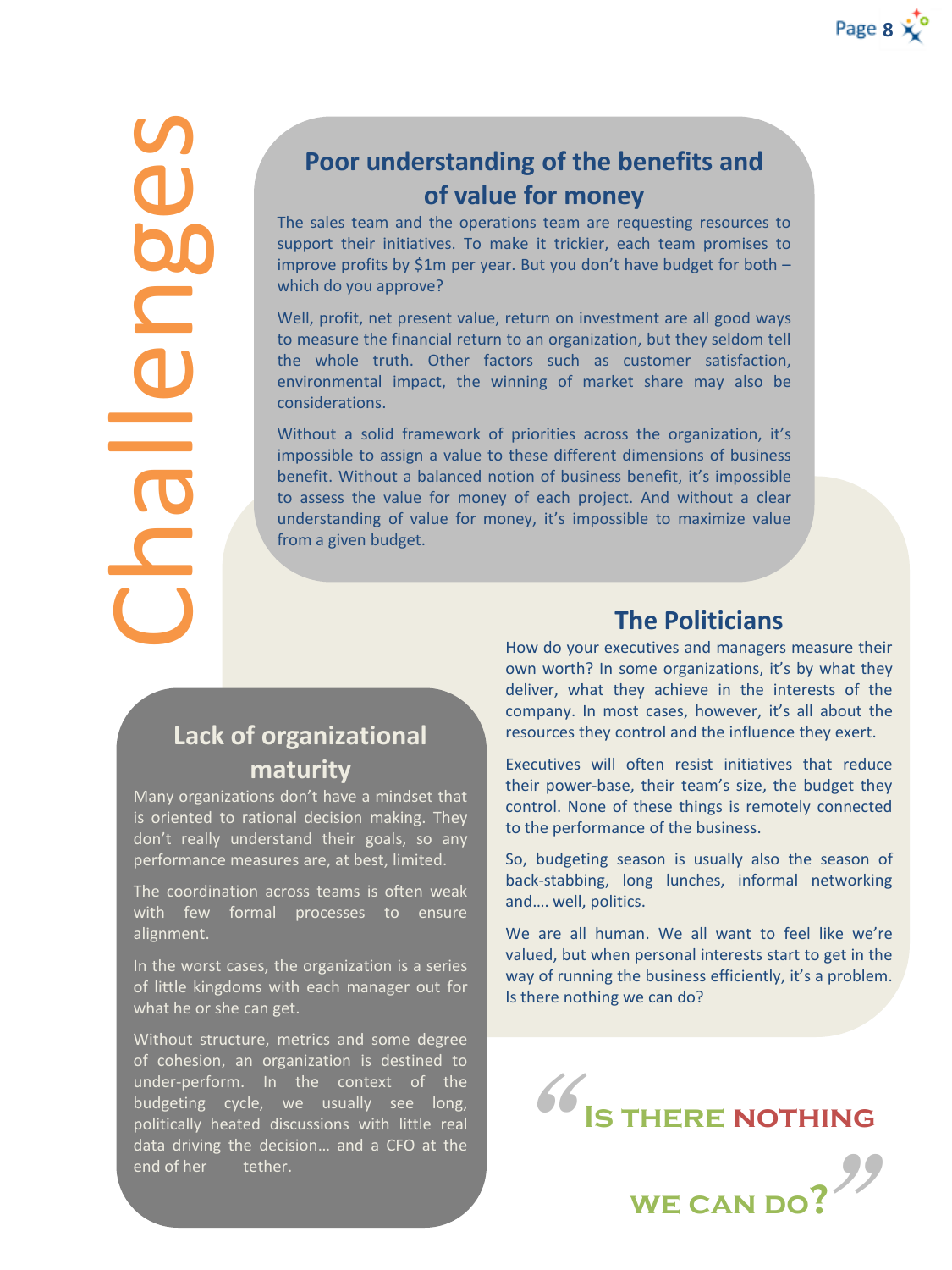Challenges

#### **Poor understanding of the benefits and of value for money**

The sales team and the operations team are requesting resources to support their initiatives. To make it trickier, each team promises to improve profits by \$1m per year. But you don't have budget for both – which do you approve?

Well, profit, net present value, return on investment are all good ways to measure the financial return to an organization, but they seldom tell the whole truth. Other factors such as customer satisfaction, environmental impact, the winning of market share may also be considerations.

Without a solid framework of priorities across the organization, it's impossible to assign a value to these different dimensions of business benefit. Without a balanced notion of business benefit, it's impossible to assess the value for money of each project. And without a clear understanding of value for money, it's impossible to maximize value from a given budget.

#### **Lack of organizational maturity**

Many organizations don't have a mindset that is oriented to rational decision making. They don't really understand their goals, so any performance measures are, at best, limited.

The coordination across teams is often weak with few formal processes to ensure alignment.

In the worst cases, the organization is a series of little kingdoms with each manager out for what he or she can get.

Without structure, metrics and some degree of cohesion, an organization is destined to under-perform. In the context of the budgeting cycle, we usually see long, politically heated discussions with little real data driving the decision… and a CFO at the end of her tether.

#### **The Politicians**

How do your executives and managers measure their own worth? In some organizations, it's by what they deliver, what they achieve in the interests of the company. In most cases, however, it's all about the resources they control and the influence they exert.

Executives will often resist initiatives that reduce their power-base, their team's size, the budget they control. None of these things is remotely connected to the performance of the business.

So, budgeting season is usually also the season of back-stabbing, long lunches, informal networking and…. well, politics.

We are all human. We all want to feel like we're valued, but when personal interests start to get in the way of running the business efficiently, it's a problem. Is there nothing we can do?



**we can do?**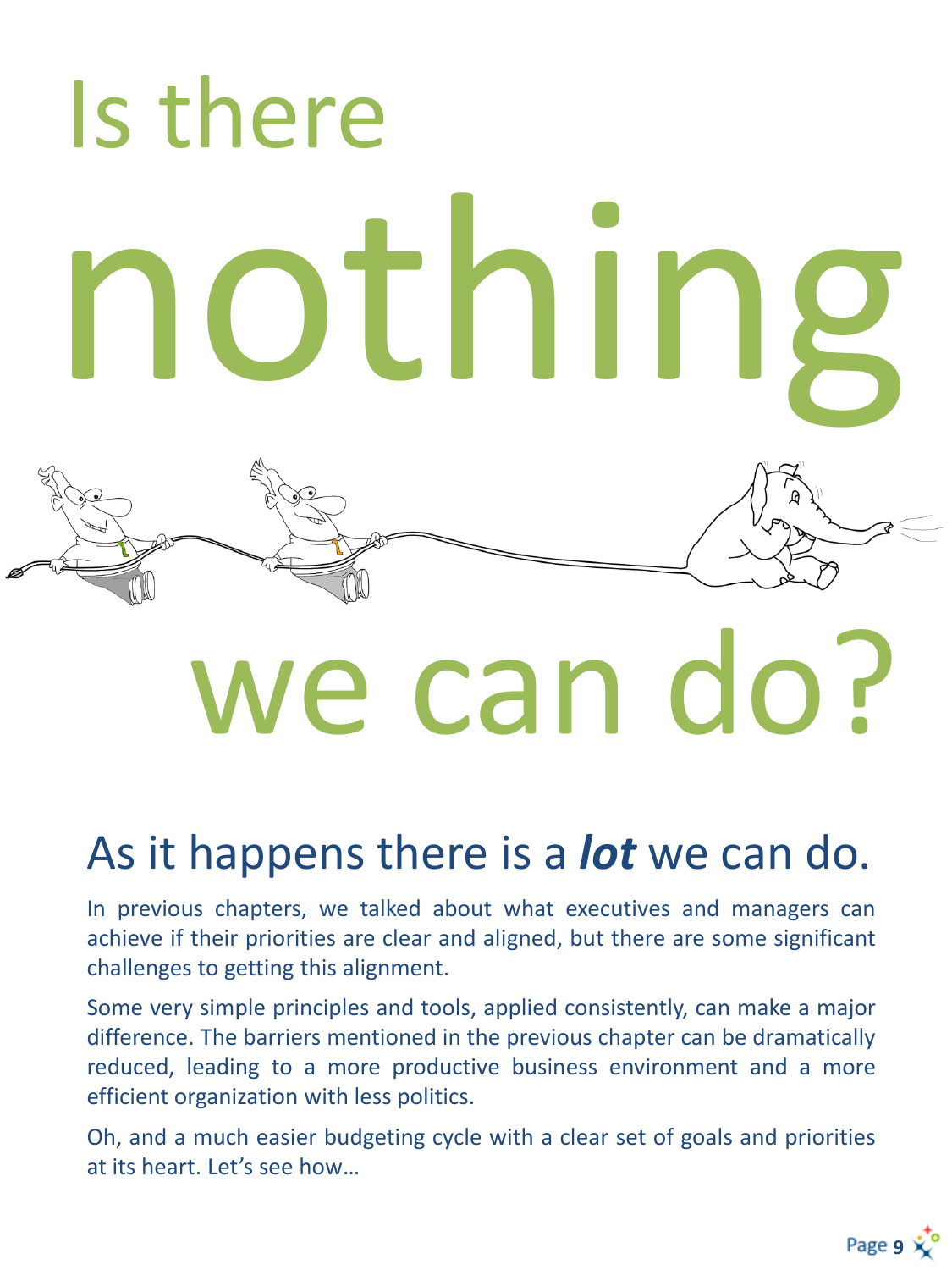# Is there nothing

# we can do?

# As it happens there is a *lot* we can do.

In previous chapters, we talked about what executives and managers can achieve if their priorities are clear and aligned, but there are some significant challenges to getting this alignment.

Some very simple principles and tools, applied consistently, can make a major difference. The barriers mentioned in the previous chapter can be dramatically reduced, leading to a more productive business environment and a more efficient organization with less politics.

Oh, and a much easier budgeting cycle with a clear set of goals and priorities at its heart. Let's see how…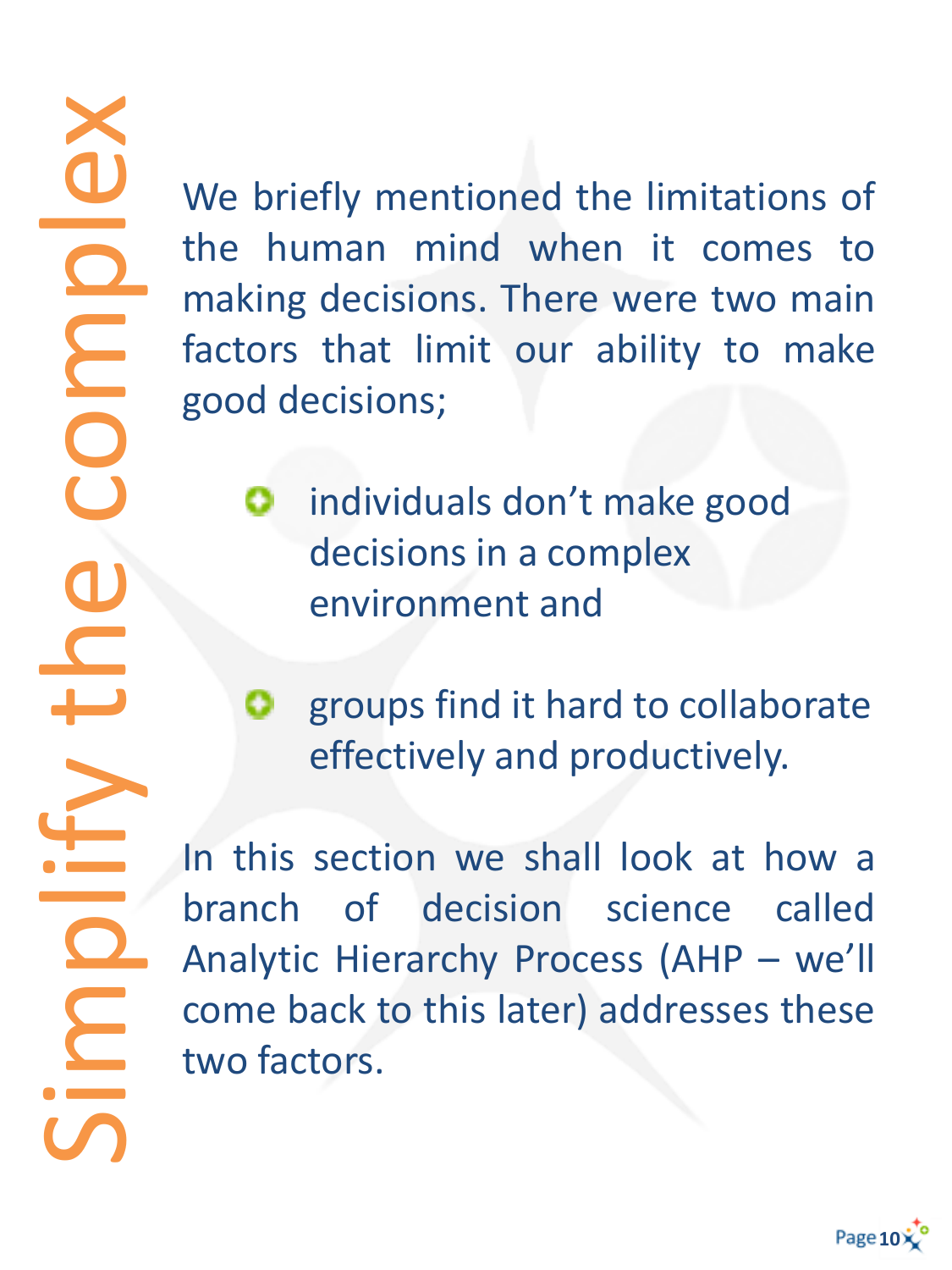We briefly mentioned the limitations of the human mind when it comes to making decisions. There were two main factors that limit our ability to make good decisions;

- individuals don't make good decisions in a complex environment and
- groups find it hard to collaborate 0. effectively and productively.

In this section we shall look at how a branch of decision science called Analytic Hierarchy Process (AHP – we'll come back to this later) addresses these two factors.



Simplify the complex **DIDOO** C C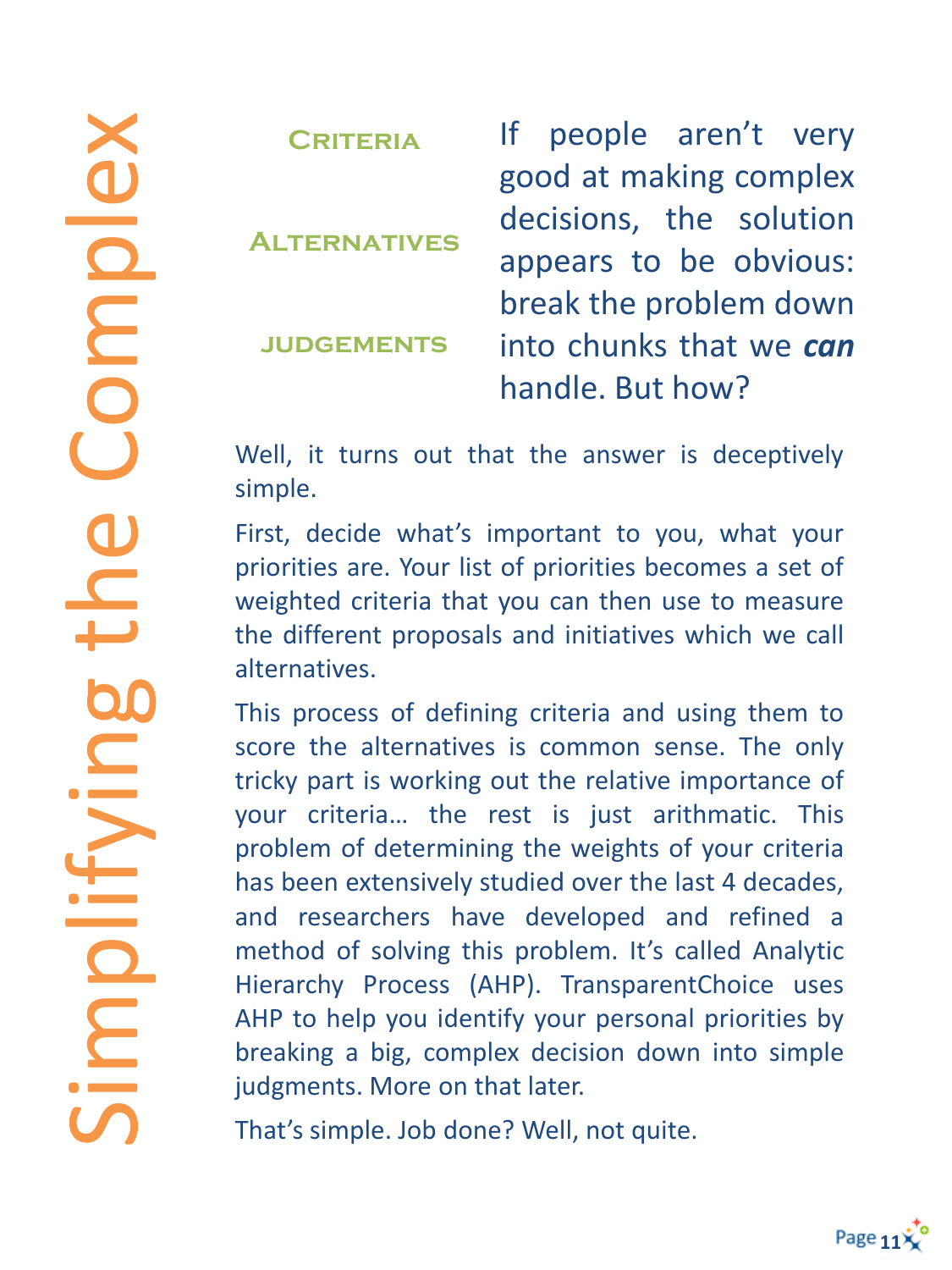**Criteria Alternatives judgements** If people aren't very good at making complex decisions, the solution appears to be obvious: break the problem down into chunks that we *can* handle. But how?

Well, it turns out that the answer is deceptively simple.

First, decide what's important to you, what your priorities are. Your list of priorities becomes a set of weighted criteria that you can then use to measure the different proposals and initiatives which we call alternatives.

This process of defining criteria and using them to score the alternatives is common sense. The only tricky part is working out the relative importance of your criteria… the rest is just arithmatic. This problem of determining the weights of your criteria has been extensively studied over the last 4 decades, and researchers have developed and refined a method of solving this problem. It's called Analytic Hierarchy Process (AHP). TransparentChoice uses AHP to help you identify your personal priorities by breaking a big, complex decision down into simple judgments. More on that later.

That's simple. Job done? Well, not quite.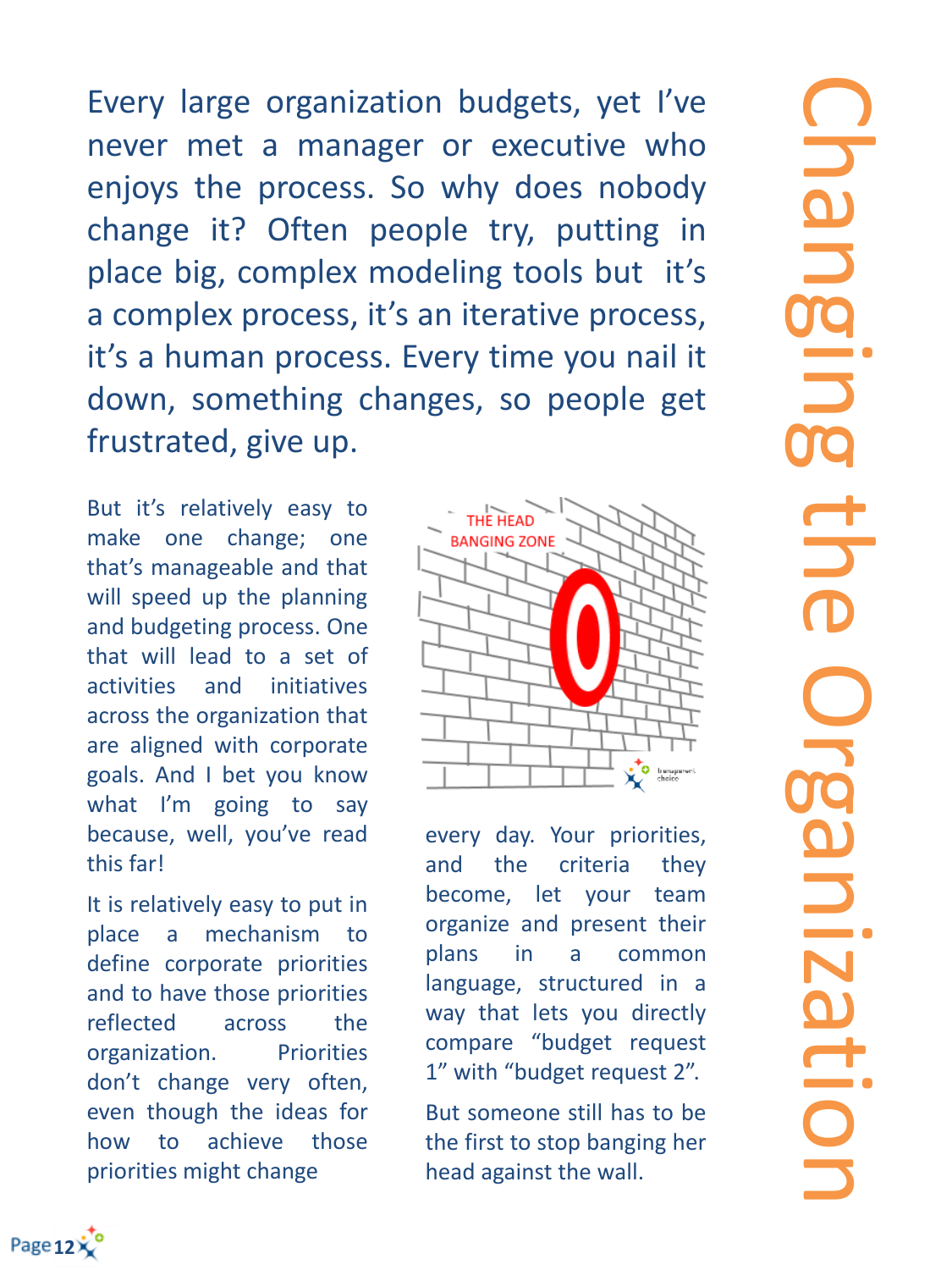Every large organization budgets, yet I've never met a manager or executive who enjoys the process. So why does nobody change it? Often people try, putting in place big, complex modeling tools but it's a complex process, it's an iterative process, it's a human process. Every time you nail it down, something changes, so people get frustrated, give up.

But it's relatively easy to make one change; one that's manageable and that will speed up the planning and budgeting process. One that will lead to a set of activities and initiatives across the organization that are aligned with corporate goals. And I bet you know what I'm going to say because, well, you've read this far!

It is relatively easy to put in place a mechanism to define corporate priorities and to have those priorities reflected across the organization. Priorities don't change very often, even though the ideas for how to achieve those priorities might change



every day. Your priorities, and the criteria they become, let your team organize and present their plans in a common language, structured in a way that lets you directly compare "budget request 1" with "budget request 2".

But someone still has to be the first to stop banging her head against the wall.

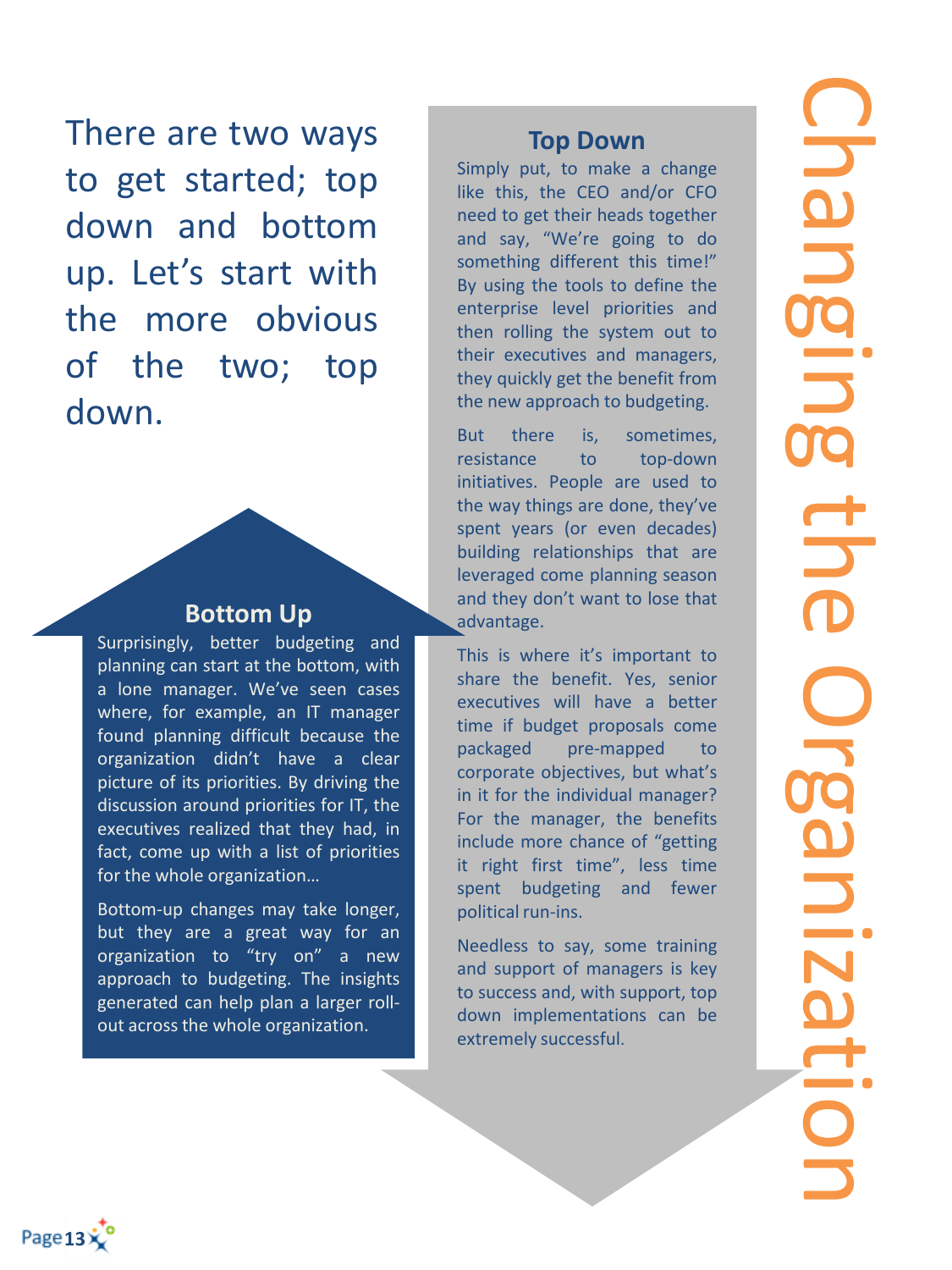There are two ways to get started; top down and bottom up. Let's start with the more obvious of the two; top down.

#### **Bottom Up**

Surprisingly, better budgeting and planning can start at the bottom, with a lone manager. We've seen cases where, for example, an IT manager found planning difficult because the organization didn't have a clear picture of its priorities. By driving the discussion around priorities for IT, the executives realized that they had, in fact, come up with a list of priorities for the whole organization…

Bottom-up changes may take longer, but they are a great way for an organization to "try on" a new approach to budgeting. The insights generated can help plan a larger rollout across the whole organization.

#### **Top Down**

Simply put, to make a change like this, the CEO and/or CFO need to get their heads together and say, "We're going to do something different this time!" By using the tools to define the enterprise level priorities and then rolling the system out to their executives and managers, they quickly get the benefit from the new approach to budgeting.

But there is, sometimes, resistance to top-down initiatives. People are used to the way things are done, they've spent years (or even decades) building relationships that are leveraged come planning season and they don't want to lose that advantage.

This is where it's important to share the benefit. Yes, senior executives will have a better time if budget proposals come packaged pre-mapped to corporate objectives, but what's in it for the individual manager? For the manager, the benefits include more chance of "getting it right first time", less time spent budgeting and fewer political run-ins.

Needless to say, some training and support of managers is key to success and, with support, top down implementations can be extremely successful.

Page 13>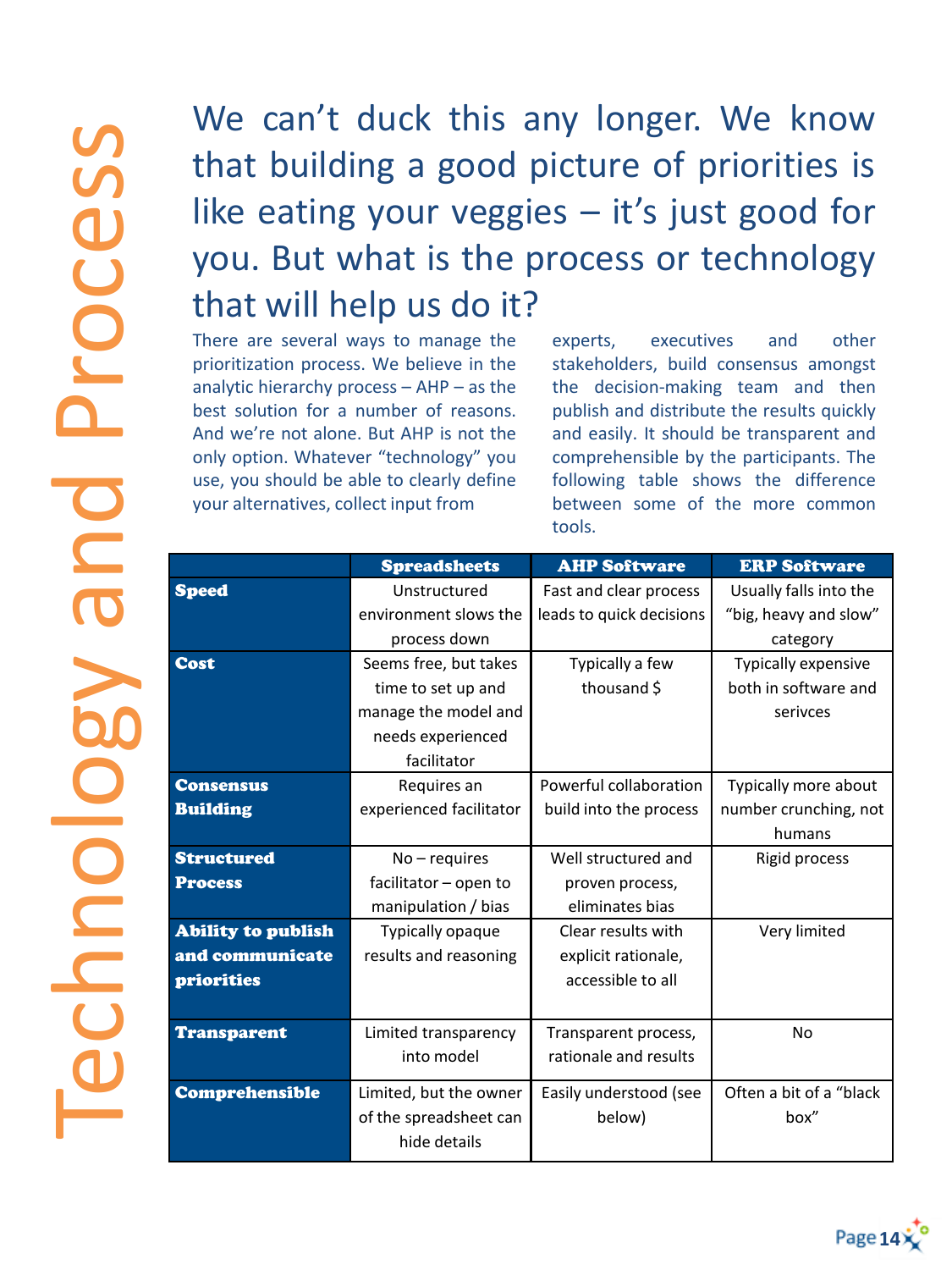### We can't duck this any longer. We know that building a good picture of priorities is like eating your veggies  $-$  it's just good for you. But what is the process or technology that will help us do it?

There are several ways to manage the prioritization process. We believe in the analytic hierarchy process – AHP – as the best solution for a number of reasons. And we're not alone. But AHP is not the only option. Whatever "technology" you use, you should be able to clearly define your alternatives, collect input from

experts, executives and other stakeholders, build consensus amongst the decision-making team and then publish and distribute the results quickly and easily. It should be transparent and comprehensible by the participants. The following table shows the difference between some of the more common tools.

|                           | <b>Spreadsheets</b>     | <b>AHP Software</b>      | <b>ERP Software</b>        |
|---------------------------|-------------------------|--------------------------|----------------------------|
| <b>Speed</b>              | Unstructured            | Fast and clear process   | Usually falls into the     |
|                           | environment slows the   | leads to quick decisions | "big, heavy and slow"      |
|                           | process down            |                          | category                   |
| <b>Cost</b>               | Seems free, but takes   | Typically a few          | <b>Typically expensive</b> |
|                           | time to set up and      | thousand \$              | both in software and       |
|                           | manage the model and    |                          | serivces                   |
|                           | needs experienced       |                          |                            |
|                           | facilitator             |                          |                            |
| <b>Consensus</b>          | Requires an             | Powerful collaboration   | Typically more about       |
| <b>Building</b>           | experienced facilitator | build into the process   | number crunching, not      |
|                           |                         |                          | humans                     |
| <b>Structured</b>         | $No$ – requires         | Well structured and      | Rigid process              |
| <b>Process</b>            | facilitator - open to   | proven process,          |                            |
|                           | manipulation / bias     | eliminates bias          |                            |
| <b>Ability to publish</b> | Typically opaque        | Clear results with       | Very limited               |
| and communicate           | results and reasoning   | explicit rationale,      |                            |
| <b>priorities</b>         |                         | accessible to all        |                            |
|                           |                         |                          |                            |
| <b>Transparent</b>        | Limited transparency    | Transparent process,     | <b>No</b>                  |
|                           | into model              | rationale and results    |                            |
| Comprehensible            | Limited, but the owner  | Easily understood (see   | Often a bit of a "black    |
|                           | of the spreadsheet can  | below)                   | box"                       |
|                           | hide details            |                          |                            |
|                           |                         |                          |                            |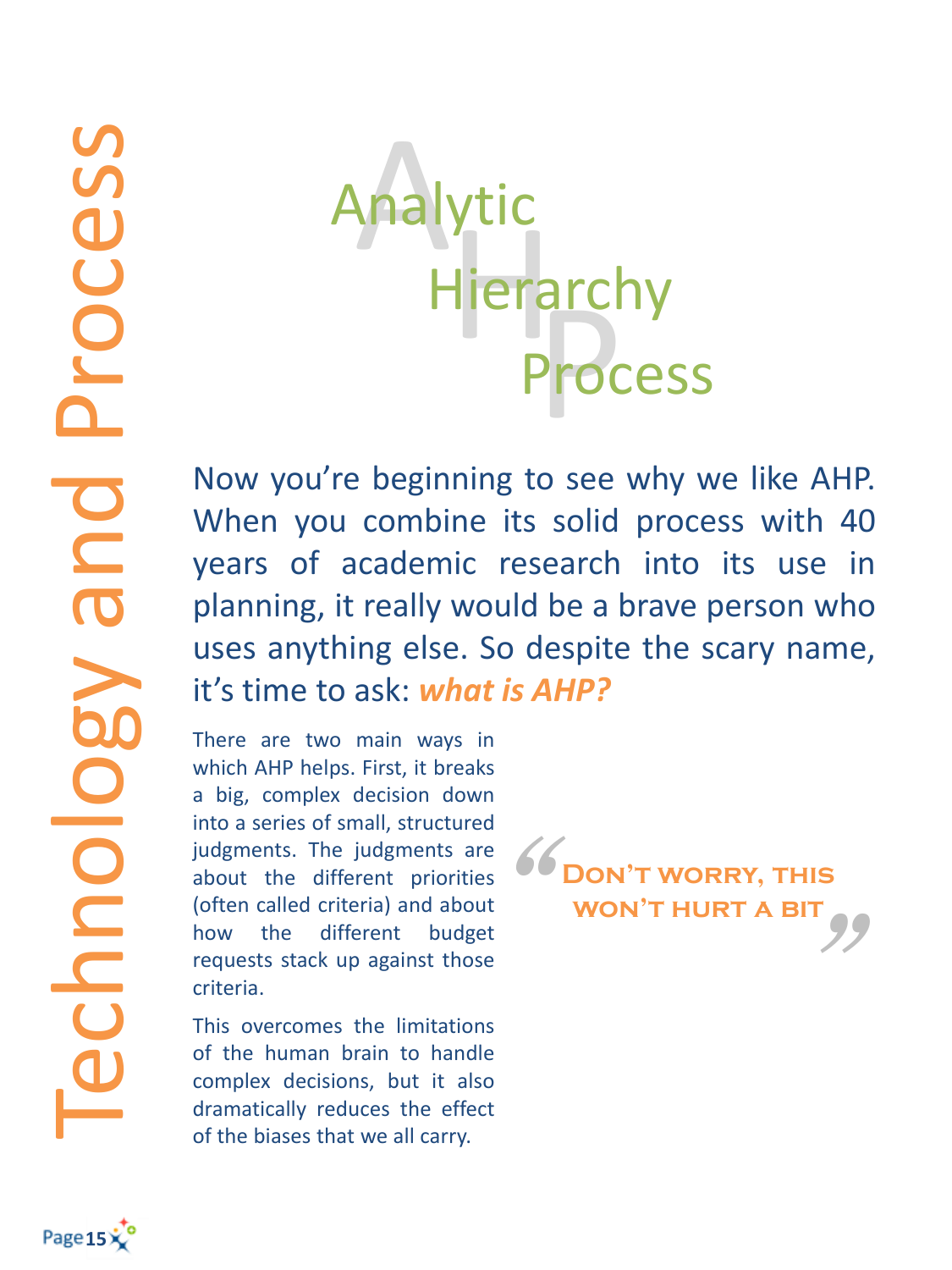# Hierarchy arcı<br>Prod ytic Process

Now you're beginning to see why we like AHP. When you combine its solid process with 40 years of academic research into its use in planning, it really would be a brave person who uses anything else. So despite the scary name, it's time to ask: *what is AHP?*

There are two main ways in which AHP helps. First, it breaks a big, complex decision down into a series of small, structured judgments. The judgments are about the different priorities (often called criteria) and about how the different budget requests stack up against those criteria.

This overcomes the limitations of the human brain to handle complex decisions, but it also dramatically reduces the effect of the biases that we all carry.

 $^{\rm{II}}$  $\frac{66}{1}$ **Don't worry, this won't hurt a bit**



Technology and Process

Chnology

and

Process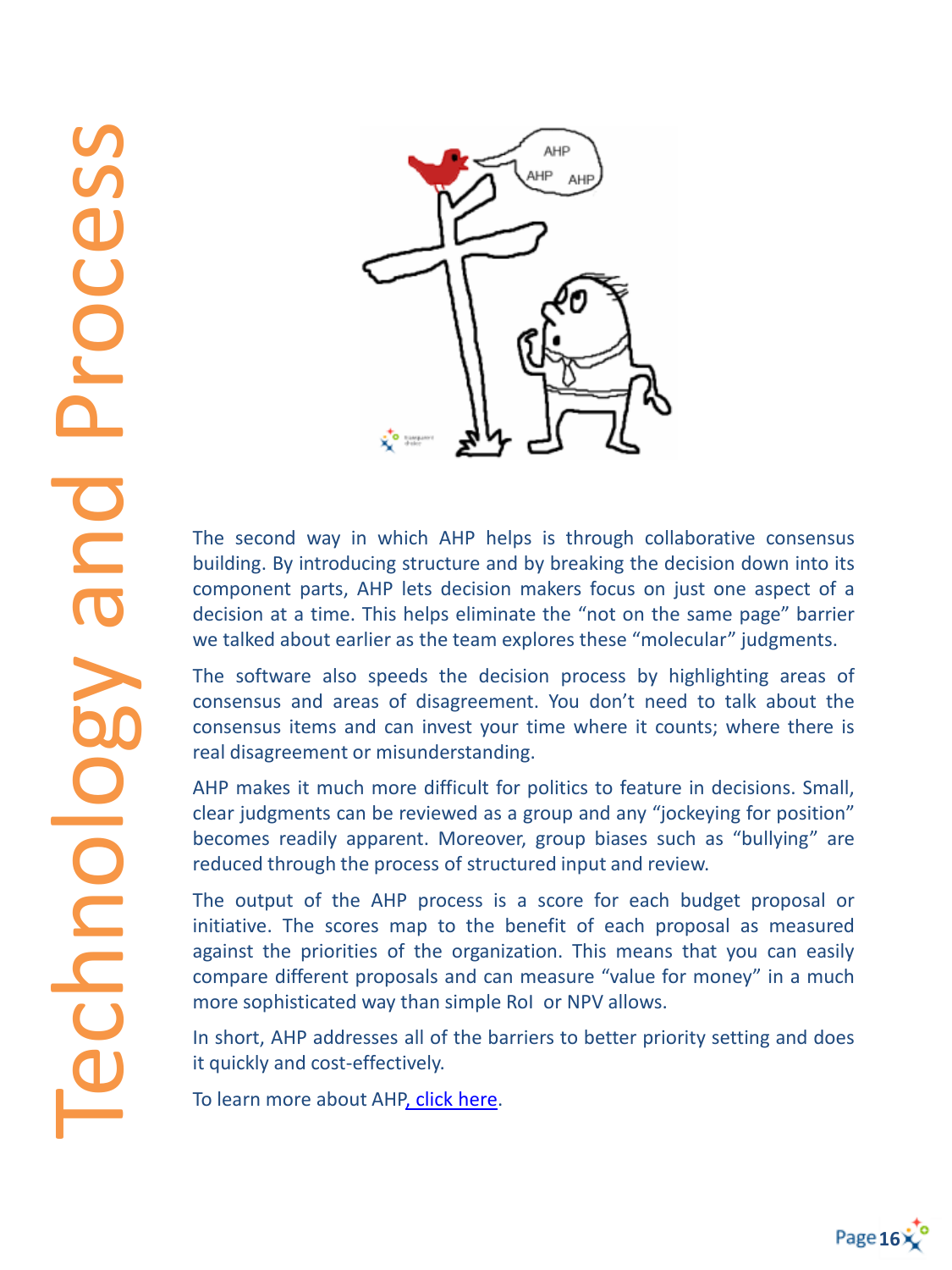

The second way in which AHP helps is through collaborative consensus building. By introducing structure and by breaking the decision down into its component parts, AHP lets decision makers focus on just one aspect of a decision at a time. This helps eliminate the "not on the same page" barrier we talked about earlier as the team explores these "molecular" judgments.

The software also speeds the decision process by highlighting areas of consensus and areas of disagreement. You don't need to talk about the consensus items and can invest your time where it counts; where there is real disagreement or misunderstanding.

AHP makes it much more difficult for politics to feature in decisions. Small, clear judgments can be reviewed as a group and any "jockeying for position" becomes readily apparent. Moreover, group biases such as "bullying" are reduced through the process of structured input and review.

The output of the AHP process is a score for each budget proposal or initiative. The scores map to the benefit of each proposal as measured against the priorities of the organization. This means that you can easily compare different proposals and can measure "value for money" in a much more sophisticated way than simple RoI or NPV allows.

In short, AHP addresses all of the barriers to better priority setting and does it quickly and cost-effectively.

To learn more about AH[P,](http://hubs.ly/y0dF_T0) [click](http://hubs.ly/y0dF_T0) [here](http://hubs.ly/y0dF_T0).